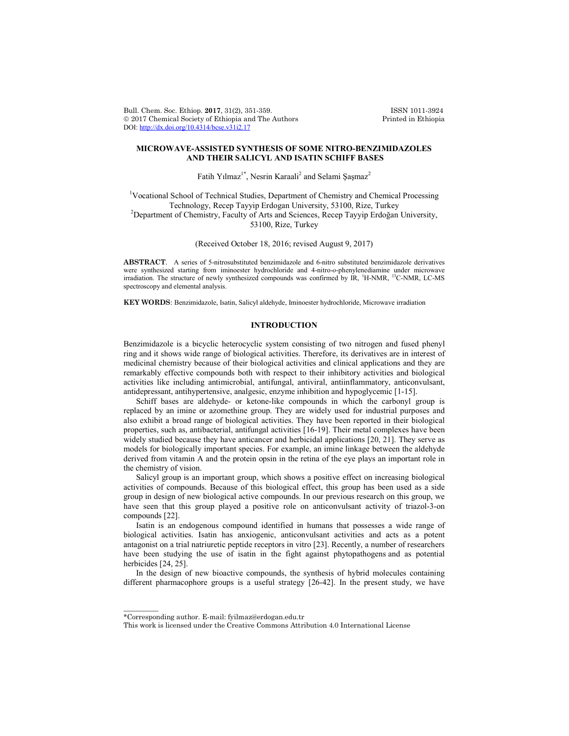Bull. Chem. Soc. Ethiop. 2017, 31(2), 351-359.<br>
© 2017 Chemical Society of Ethiopia and The Authors Printed in Ethiopia  $© 2017 Chemical Society of Ethiopia and The Authors$ DOI: http://dx.doi.org/10.4314/bcse.v31i2.17

# **MICROWAVE-ASSISTED SYNTHESIS OF SOME NITRO-BENZIMIDAZOLES AND THEIR SALICYL AND ISATIN SCHIFF BASES**

Fatih Yılmaz<sup>1\*</sup>, Nesrin Karaali<sup>2</sup> and Selami Şaşmaz<sup>2</sup>

<sup>1</sup>Vocational School of Technical Studies, Department of Chemistry and Chemical Processing Technology, Recep Tayyip Erdogan University, 53100, Rize, Turkey <sup>2</sup> <sup>2</sup>Department of Chemistry, Faculty of Arts and Sciences, Recep Tayyip Erdoğan University, 53100, Rize, Turkey

(Received October 18, 2016; revised August 9, 2017)

**ABSTRACT**. A series of 5-nitrosubstituted benzimidazole and 6-nitro substituted benzimidazole derivatives were synthesized starting from iminoester hydrochloride and 4-nitro-*o*-phenylenediamine under microwave irradiation. The structure of newly synthesized compounds was confirmed by IR, <sup>1</sup>H-NMR, <sup>13</sup>C-NMR, LC-MS spectroscopy and elemental analysis.

**KEY WORDS**: Benzimidazole, Isatin, Salicyl aldehyde, Iminoester hydrochloride, Microwave irradiation

# **INTRODUCTION**

Benzimidazole is a bicyclic heterocyclic system consisting of two nitrogen and fused phenyl ring and it shows wide range of biological activities. Therefore, its derivatives are in interest of medicinal chemistry because of their biological activities and clinical applications and they are remarkably effective compounds both with respect to their inhibitory activities and biological activities like including antimicrobial, antifungal, antiviral, antiinflammatory, anticonvulsant, antidepressant, antihypertensive, analgesic, enzyme inhibition and hypoglycemic [1-15].

Schiff bases are aldehyde- or ketone-like compounds in which the carbonyl group is replaced by an imine or azomethine group. They are widely used for industrial purposes and also exhibit a broad range of biological activities. They have been reported in their biological properties, such as, antibacterial, antifungal activities [16-19]. Their metal complexes have been widely studied because they have anticancer and herbicidal applications [20, 21]. They serve as models for biologically important species. For example, an imine linkage between the aldehyde derived from vitamin A and the protein opsin in the retina of the eye plays an important role in the chemistry of vision.

Salicyl group is an important group, which shows a positive effect on increasing biological activities of compounds. Because of this biological effect, this group has been used as a side group in design of new biological active compounds. In our previous research on this group, we have seen that this group played a positive role on anticonvulsant activity of triazol-3-on compounds [22].

Isatin is an endogenous compound identified in humans that possesses a wide range of biological activities. Isatin has anxiogenic, anticonvulsant activities and acts as a potent antagonist on a trial natriuretic peptide receptors in vitro [23]. Recently, a number of researchers have been studying the use of isatin in the fight against phytopathogens and as potential herbicides [24, 25].

In the design of new bioactive compounds, the synthesis of hybrid molecules containing different pharmacophore groups is a useful strategy [26-42]. In the present study, we have

 $\overline{\phantom{a}}$ 

<sup>\*</sup>Corresponding author. E-mail: fyilmaz@erdogan.edu.tr

This work is licensed under the Creative Commons Attribution 4.0 International License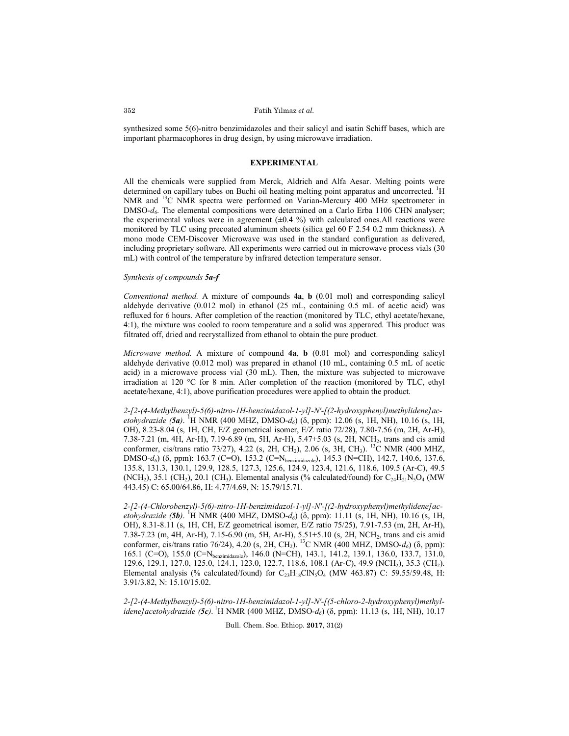synthesized some 5(6)-nitro benzimidazoles and their salicyl and isatin Schiff bases, which are important pharmacophores in drug design, by using microwave irradiation.

# **EXPERIMENTAL**

All the chemicals were supplied from Merck, Aldrich and Alfa Aesar. Melting points were determined on capillary tubes on Buchi oil heating melting point apparatus and uncorrected. <sup>1</sup>H NMR and <sup>13</sup>C NMR spectra were performed on Varian-Mercury 400 MHz spectrometer in DMSO-*d6*. The elemental compositions were determined on a Carlo Erba 1106 CHN analyser; the experimental values were in agreement  $(\pm 0.4 \%)$  with calculated ones.All reactions were monitored by TLC using precoated aluminum sheets (silica gel 60 F 2.54 0.2 mm thickness). A mono mode CEM-Discover Microwave was used in the standard configuration as delivered, including proprietary software. All experiments were carried out in microwave process vials (30 mL) with control of the temperature by infrared detection temperature sensor.

# *Synthesis of compounds 5a-f*

*Conventional method.* A mixture of compounds **4a**, **b** (0.01 mol) and corresponding salicyl aldehyde derivative (0.012 mol) in ethanol (25 mL, containing 0.5 mL of acetic acid) was refluxed for 6 hours. After completion of the reaction (monitored by TLC, ethyl acetate/hexane, 4:1), the mixture was cooled to room temperature and a solid was apperared. This product was filtrated off, dried and recrystallized from ethanol to obtain the pure product.

*Microwave method.* A mixture of compound **4a**, **b** (0.01 mol) and corresponding salicyl aldehyde derivative (0.012 mol) was prepared in ethanol (10 mL, containing 0.5 mL of acetic acid) in a microwave process vial (30 mL). Then, the mixture was subjected to microwave irradiation at 120 °C for 8 min. After completion of the reaction (monitored by TLC, ethyl acetate/hexane, 4:1), above purification procedures were applied to obtain the product.

*2-[2-(4-Methylbenzyl)-5(6)-nitro-1H-benzimidazol-1-yl]-N'-[(2-hydroxyphenyl)methylidene]acetohydrazide (5a)*. <sup>1</sup>H NMR (400 MHZ, DMSO-*d<sub>6</sub>*) (δ, ppm): 12.06 (s, 1H, NH), 10.16 (s, 1H, OH), 8.23-8.04 (s, 1H, CH, E/Z geometrical isomer, E/Z ratio 72/28), 7.80-7.56 (m, 2H, Ar-H), 7.38-7.21 (m, 4H, Ar-H), 7.19-6.89 (m, 5H, Ar-H), 5.47+5.03 (s, 2H, NCH2, trans and cis amid conformer, cis/trans ratio 73/27), 4.22 (s, 2H, CH<sub>2</sub>), 2.06 (s, 3H, CH<sub>3</sub>). <sup>13</sup>C NMR (400 MHZ, DMSO-*d*<sub>6</sub>) (δ, ppm): 163.7 (C=O), 153.2 (C=N<sub>benzimidazole</sub>), 145.3 (N=CH), 142.7, 140.6, 137.6, 135.8, 131.3, 130.1, 129.9, 128.5, 127.3, 125.6, 124.9, 123.4, 121.6, 118.6, 109.5 (Ar-C), 49.5 (NCH<sub>2</sub>), 35.1 (CH<sub>2</sub>), 20.1 (CH<sub>3</sub>). Elemental analysis (% calculated/found) for  $C_{24}H_{21}N_5O_4$  (MW 443.45) C: 65.00/64.86, H: 4.77/4.69, N: 15.79/15.71.

*2-[2-(4-Chlorobenzyl)-5(6)-nitro-1H-benzimidazol-1-yl]-N'-[(2-hydroxyphenyl)methylidene]acetohydrazide (5b)*. <sup>1</sup>H NMR (400 MHZ, DMSO-*d<sub>6</sub>*) (δ, ppm): 11.11 (s, 1H, NH), 10.16 (s, 1H, OH), 8.31-8.11 (s, 1H, CH, E/Z geometrical isomer, E/Z ratio 75/25), 7.91-7.53 (m, 2H, Ar-H), 7.38-7.23 (m, 4H, Ar-H), 7.15-6.90 (m, 5H, Ar-H), 5.51+5.10 (s, 2H, NCH2, trans and cis amid conformer, cis/trans ratio 76/24), 4.20 (s, 2H, CH<sub>2</sub>). <sup>13</sup>C NMR (400 MHZ, DMSO-*d*<sub>6</sub>) (δ, ppm): 165.1 (C=O), 155.0 (C=Nbenzimidazole), 146.0 (N=CH), 143.1, 141.2, 139.1, 136.0, 133.7, 131.0, 129.6, 129.1, 127.0, 125.0, 124.1, 123.0, 122.7, 118.6, 108.1 (Ar-C), 49.9 (NCH2), 35.3 (CH2). Elemental analysis (% calculated/found) for  $C_{23}H_{18}C_{18}O_4$  (MW 463.87) C: 59.55/59.48, H: 3.91/3.82, N: 15.10/15.02.

*2-[2-(4-Methylbenzyl)-5(6)-nitro-1H-benzimidazol-1-yl]-N'-[(5-chloro-2-hydroxyphenyl)methylidene]acetohydrazide (5c)*. 1 H NMR (400 MHZ, DMSO-*d6*) (δ, ppm): 11.13 (s, 1H, NH), 10.17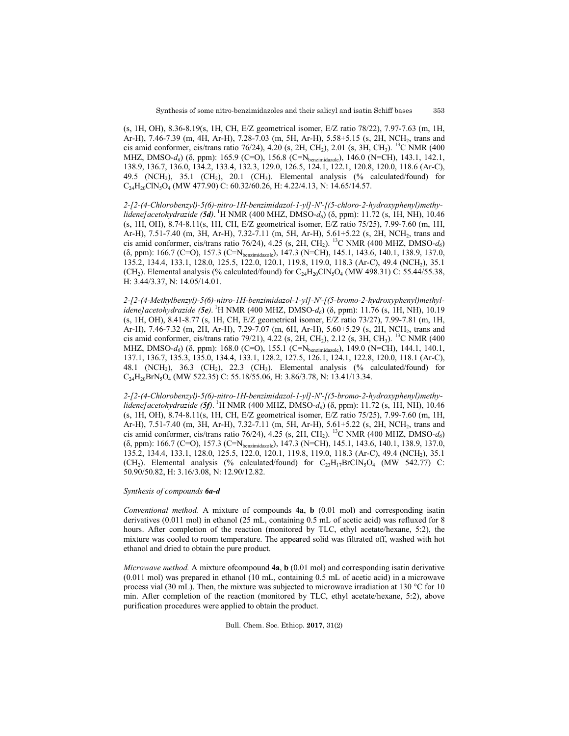(s, 1H, OH), 8.36-8.19(s, 1H, CH, E/Z geometrical isomer, E/Z ratio 78/22), 7.97-7.63 (m, 1H, Ar-H), 7.46-7.39 (m, 4H, Ar-H), 7.28-7.03 (m, 5H, Ar-H), 5.58+5.15 (s, 2H, NCH<sub>2</sub>, trans and cis amid conformer, cis/trans ratio 76/24), 4.20 (s, 2H, CH<sub>2</sub>), 2.01 (s, 3H, CH<sub>3</sub>). <sup>13</sup>C NMR (400 MHZ, DMSO- $d_6$ ) (δ, ppm): 165.9 (C=O), 156.8 (C=N<sub>benzimidazole</sub>), 146.0 (N=CH), 143.1, 142.1, 138.9, 136.7, 136.0, 134.2, 133.4, 132.3, 129.0, 126.5, 124.1, 122.1, 120.8, 120.0, 118.6 (Ar-C), 49.5 (NCH<sub>2</sub>), 35.1 (CH<sub>2</sub>), 20.1 (CH<sub>3</sub>). Elemental analysis (% calculated/found) for  $C_{24}H_{20}CN_5O_4$  (MW 477.90) C: 60.32/60.26, H: 4.22/4.13, N: 14.65/14.57.

*2-[2-(4-Chlorobenzyl)-5(6)-nitro-1H-benzimidazol-1-yl]-N'-[(5-chloro-2-hydroxyphenyl)methylidene]acetohydrazide (5d)*. 1 H NMR (400 MHZ, DMSO-*d6*) (δ, ppm): 11.72 (s, 1H, NH), 10.46 (s, 1H, OH), 8.74-8.11(s, 1H, CH, E/Z geometrical isomer, E/Z ratio 75/25), 7.99-7.60 (m, 1H, Ar-H), 7.51-7.40 (m, 3H, Ar-H), 7.32-7.11 (m, 5H, Ar-H), 5.61+5.22 (s, 2H, NCH2, trans and cis amid conformer, cis/trans ratio 76/24), 4.25 (s, 2H, CH<sub>2</sub>). <sup>13</sup>C NMR (400 MHZ, DMSO- $d_6$ ) (δ, ppm): 166.7 (C=O), 157.3 (C=Nbenzimidazole), 147.3 (N=CH), 145.1, 143.6, 140.1, 138.9, 137.0, 135.2, 134.4, 133.1, 128.0, 125.5, 122.0, 120.1, 119.8, 119.0, 118.3 (Ar-C), 49.4 (NCH2), 35.1 (CH<sub>2</sub>). Elemental analysis (% calculated/found) for  $C_{24}H_{20}CIN_5O_4$  (MW 498.31) C: 55.44/55.38, H: 3.44/3.37, N: 14.05/14.01.

*2-[2-(4-Methylbenzyl)-5(6)-nitro-1H-benzimidazol-1-yl]-N'-[(5-bromo-2-hydroxyphenyl)methylidene]acetohydrazide (5e)*. 1 H NMR (400 MHZ, DMSO-*d6*) (δ, ppm): 11.76 (s, 1H, NH), 10.19 (s, 1H, OH), 8.41-8.77 (s, 1H, CH, E/Z geometrical isomer, E/Z ratio 73/27), 7.99-7.81 (m, 1H, Ar-H), 7.46-7.32 (m, 2H, Ar-H), 7.29-7.07 (m, 6H, Ar-H), 5.60+5.29 (s, 2H, NCH<sub>2</sub>, trans and cis amid conformer, cis/trans ratio 79/21), 4.22 (s, 2H, CH<sub>2</sub>), 2.12 (s, 3H, CH<sub>3</sub>). <sup>13</sup>C NMR (400 MHZ, DMSO-d<sub>6</sub>) (δ, ppm): 168.0 (C=O), 155.1 (C=N<sub>benzimidazole</sub>), 149.0 (N=CH), 144.1, 140.1, 137.1, 136.7, 135.3, 135.0, 134.4, 133.1, 128.2, 127.5, 126.1, 124.1, 122.8, 120.0, 118.1 (Ar-C), 48.1 (NCH<sub>2</sub>), 36.3 (CH<sub>2</sub>), 22.3 (CH<sub>3</sub>). Elemental analysis (% calculated/found) for C24H20BrN5O4 (MW 522.35) C: 55.18/55.06, H: 3.86/3.78, N: 13.41/13.34.

*2-[2-(4-Chlorobenzyl)-5(6)-nitro-1H-benzimidazol-1-yl]-N'-[(5-bromo-2-hydroxyphenyl)methylidene]acetohydrazide (5f)*. 1 H NMR (400 MHZ, DMSO-*d6*) (δ, ppm): 11.72 (s, 1H, NH), 10.46 (s, 1H, OH), 8.74-8.11(s, 1H, CH, E/Z geometrical isomer, E/Z ratio 75/25), 7.99-7.60 (m, 1H, Ar-H), 7.51-7.40 (m, 3H, Ar-H), 7.32-7.11 (m, 5H, Ar-H), 5.61+5.22 (s, 2H, NCH2, trans and cis amid conformer, cis/trans ratio 76/24), 4.25 (s, 2H, CH<sub>2</sub>). <sup>13</sup>C NMR (400 MHZ, DMSO-d<sub>6</sub>) (δ, ppm): 166.7 (C=O), 157.3 (C=Nbenzimidazole), 147.3 (N=CH), 145.1, 143.6, 140.1, 138.9, 137.0, 135.2, 134.4, 133.1, 128.0, 125.5, 122.0, 120.1, 119.8, 119.0, 118.3 (Ar-C), 49.4 (NCH2), 35.1 (CH<sub>2</sub>). Elemental analysis (% calculated/found) for  $C_{23}H_{17}BrCN_5O_4$  (MW 542.77) C: 50.90/50.82, H: 3.16/3.08, N: 12.90/12.82.

#### *Synthesis of compounds 6a-d*

*Conventional method.* A mixture of compounds **4a**, **b** (0.01 mol) and corresponding isatin derivatives (0.011 mol) in ethanol (25 mL, containing 0.5 mL of acetic acid) was refluxed for 8 hours. After completion of the reaction (monitored by TLC, ethyl acetate/hexane, 5:2), the mixture was cooled to room temperature. The appeared solid was filtrated off, washed with hot ethanol and dried to obtain the pure product.

*Microwave method.* A mixture ofcompound **4a**, **b** (0.01 mol) and corresponding isatin derivative (0.011 mol) was prepared in ethanol (10 mL, containing 0.5 mL of acetic acid) in a microwave process vial (30 mL). Then, the mixture was subjected to microwave irradiation at 130 °C for 10 min. After completion of the reaction (monitored by TLC, ethyl acetate/hexane, 5:2), above purification procedures were applied to obtain the product.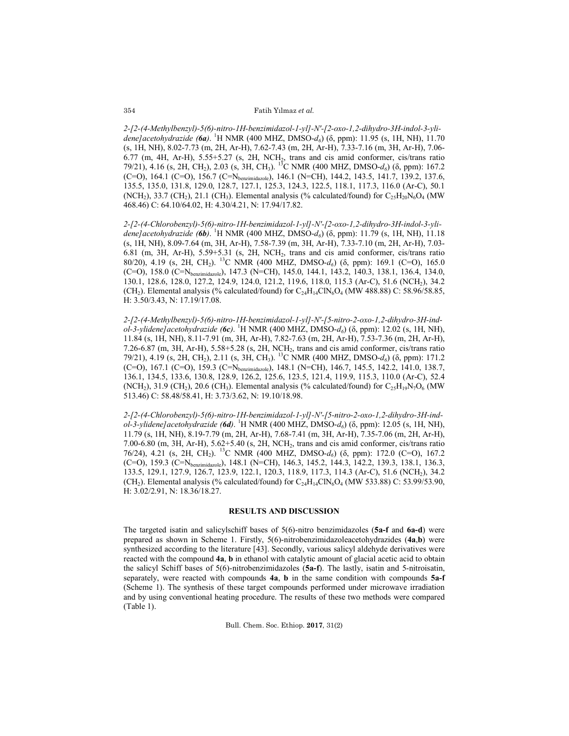#### Fatih Yılmaz *et al.*

*2-[2-(4-Methylbenzyl)-5(6)-nitro-1H-benzimidazol-1-yl]-N'-[2-oxo-1,2-dihydro-3H-indol-3-ylidene]acetohydrazide (6a)*. <sup>1</sup> H NMR (400 MHZ, DMSO-*d6*) (δ, ppm): 11.95 (s, 1H, NH), 11.70 (s, 1H, NH), 8.02-7.73 (m, 2H, Ar-H), 7.62-7.43 (m, 2H, Ar-H), 7.33-7.16 (m, 3H, Ar-H), 7.06-  $6.77$  (m, 4H, Ar-H),  $5.55+5.27$  (s, 2H, NCH<sub>2</sub>, trans and cis amid conformer, cis/trans ratio 79/21), 4.16 (s, 2H, CH2), 2.03 (s, 3H, CH3). 13C NMR (400 MHZ, DMSO-*d6*) (δ, ppm): 167.2 (C=O), 164.1 (C=O), 156.7 (C=Nbenzimidazole), 146.1 (N=CH), 144.2, 143.5, 141.7, 139.2, 137.6, 135.5, 135.0, 131.8, 129.0, 128.7, 127.1, 125.3, 124.3, 122.5, 118.1, 117.3, 116.0 (Ar-C), 50.1 (NCH<sub>2</sub>), 33.7 (CH<sub>2</sub>), 21.1 (CH<sub>3</sub>). Elemental analysis (% calculated/found) for  $C_{25}H_{20}N_6O_4$  (MW 468.46) C: 64.10/64.02, H: 4.30/4.21, N: 17.94/17.82.

*2-[2-(4-Chlorobenzyl)-5(6)-nitro-1H-benzimidazol-1-yl]-N'-[2-oxo-1,2-dihydro-3H-indol-3-ylidene]acetohydrazide (6b)*. <sup>1</sup> H NMR (400 MHZ, DMSO-*d6*) (δ, ppm): 11.79 (s, 1H, NH), 11.18 (s, 1H, NH), 8.09-7.64 (m, 3H, Ar-H), 7.58-7.39 (m, 3H, Ar-H), 7.33-7.10 (m, 2H, Ar-H), 7.03- 6.81 (m, 3H, Ar-H), 5.59+5.31 (s, 2H, NCH2, trans and cis amid conformer, cis/trans ratio 80/20), 4.19 (s, 2H, CH2). 13C NMR (400 MHZ, DMSO-*d6*) (δ, ppm): 169.1 (C=O), 165.0 (C=O), 158.0 (C=Nbenzimidazole), 147.3 (N=CH), 145.0, 144.1, 143.2, 140.3, 138.1, 136.4, 134.0, 130.1, 128.6, 128.0, 127.2, 124.9, 124.0, 121.2, 119.6, 118.0, 115.3 (Ar-C), 51.6 (NCH2), 34.2 (CH<sub>2</sub>). Elemental analysis (% calculated/found) for  $C_{24}H_{14}CIN_6O_4$  (MW 488.88) C: 58.96/58.85, H: 3.50/3.43, N: 17.19/17.08.

*2-[2-(4-Methylbenzyl)-5(6)-nitro-1H-benzimidazol-1-yl]-N'-[5-nitro-2-oxo-1,2-dihydro-3H-indol-3-ylidene]acetohydrazide (6c)*. <sup>1</sup> H NMR (400 MHZ, DMSO-*d6*) (δ, ppm): 12.02 (s, 1H, NH), 11.84 (s, 1H, NH), 8.11-7.91 (m, 3H, Ar-H), 7.82-7.63 (m, 2H, Ar-H), 7.53-7.36 (m, 2H, Ar-H), 7.26-6.87 (m, 3H, Ar-H), 5.58+5.28 (s, 2H, NCH2, trans and cis amid conformer, cis/trans ratio 79/21), 4.19 (s, 2H, CH2), 2.11 (s, 3H, CH3). 13C NMR (400 MHZ, DMSO-*d6*) (δ, ppm): 171.2 (C=O), 167.1 (C=O), 159.3 (C=N<sub>benzimidazole</sub>), 148.1 (N=CH), 146.7, 145.5, 142.2, 141.0, 138.7, 136.1, 134.5, 133.6, 130.8, 128.9, 126.2, 125.6, 123.5, 121.4, 119.9, 115.3, 110.0 (Ar-C), 52.4 (NCH<sub>2</sub>), 31.9 (CH<sub>2</sub>), 20.6 (CH<sub>3</sub>). Elemental analysis (% calculated/found) for  $C_{25}H_{19}N_7O_6$  (MW 513.46) C: 58.48/58.41, H: 3.73/3.62, N: 19.10/18.98.

*2-[2-(4-Chlorobenzyl)-5(6)-nitro-1H-benzimidazol-1-yl]-N'-[5-nitro-2-oxo-1,2-dihydro-3H-indol-3-ylidene]acetohydrazide (6d)*. <sup>1</sup> H NMR (400 MHZ, DMSO-*d6*) (δ, ppm): 12.05 (s, 1H, NH), 11.79 (s, 1H, NH), 8.19-7.79 (m, 2H, Ar-H), 7.68-7.41 (m, 3H, Ar-H), 7.35-7.06 (m, 2H, Ar-H), 7.00-6.80 (m, 3H, Ar-H), 5.62+5.40 (s, 2H, NCH2, trans and cis amid conformer, cis/trans ratio 76/24), 4.21 (s, 2H, CH2). 13C NMR (400 MHZ, DMSO-*d6*) (δ, ppm): 172.0 (C=O), 167.2 (C=O), 159.3 (C=N<sub>benzimidazole</sub>), 148.1 (N=CH), 146.3, 145.2, 144.3, 142.2, 139.3, 138.1, 136.3, 133.5, 129.1, 127.9, 126.7, 123.9, 122.1, 120.3, 118.9, 117.3, 114.3 (Ar-C), 51.6 (NCH2), 34.2 (CH<sub>2</sub>). Elemental analysis (% calculated/found) for  $C_{24}H_{14}CIN_6O_4$  (MW 533.88) C: 53.99/53.90, H: 3.02/2.91, N: 18.36/18.27.

### **RESULTS AND DISCUSSION**

The targeted isatin and salicylschiff bases of 5(6)-nitro benzimidazoles (**5a-f** and **6a-d**) were prepared as shown in Scheme 1. Firstly, 5(6)-nitrobenzimidazoleacetohydrazides (**4a**,**b**) were synthesized according to the literature [43]. Secondly, various salicyl aldehyde derivatives were reacted with the compound **4a**, **b** in ethanol with catalytic amount of glacial acetic acid to obtain the salicyl Schiff bases of 5(6)-nitrobenzimidazoles (**5a-f**). The lastly, isatin and 5-nitroisatin, separately, were reacted with compounds **4a**, **b** in the same condition with compounds **5a-f** (Scheme 1). The synthesis of these target compounds performed under microwave irradiation and by using conventional heating procedure. The results of these two methods were compared (Table 1).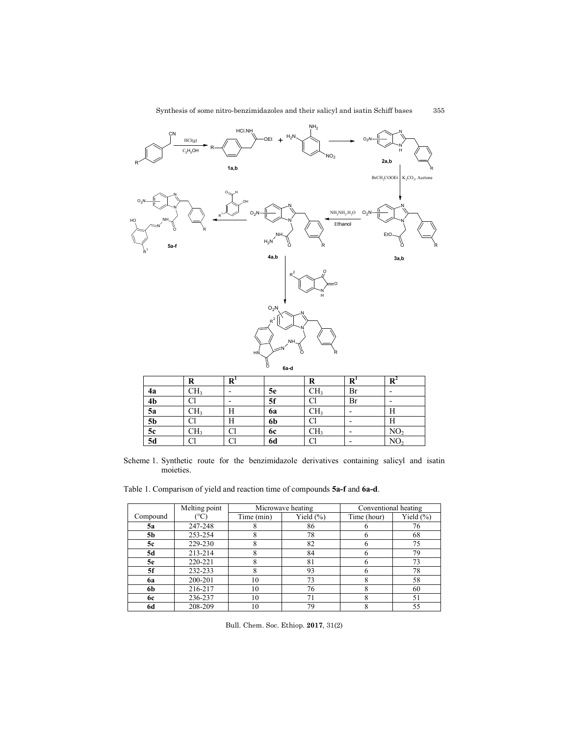

|                | R   | R |           | R               | $\bf R$ | R               |
|----------------|-----|---|-----------|-----------------|---------|-----------------|
| 4a             | CH, |   | 5e        | CH <sub>3</sub> | Br      |                 |
| 4 <sub>b</sub> |     |   | 5f        | Cl              | Br      |                 |
| 5a             | CH3 | п | 6a        | CH <sub>3</sub> |         | Н               |
| <b>5b</b>      | U   | п | 6b        | Cl              |         | п               |
| 5c             | CH3 | U | <b>6c</b> | CH <sub>3</sub> |         | NO <sub>2</sub> |
| 5d             |     | U | <b>6d</b> | Cl              |         | NO,             |

Scheme 1. Synthetic route for the benzimidazole derivatives containing salicyl and isatin moieties.

Table 1. Comparison of yield and reaction time of compounds **5a-f** and **6a-d**.

|                | Melting point |            | Microwave heating | Conventional heating |               |
|----------------|---------------|------------|-------------------|----------------------|---------------|
| Compound       | $^{\circ}$ C) | Time (min) | Yield $(\% )$     | Time (hour)          | Yield $(\% )$ |
| 5a             | 247-248       | 8          | 86                |                      | 76            |
| 5 <sub>b</sub> | 253-254       | 8          | 78                |                      | 68            |
| 5c             | 229-230       | 8          | 82                |                      | 75            |
| 5d             | 213-214       | 8          | 84                |                      | 79            |
| 5e             | 220-221       | 8          | 81                |                      | 73            |
| 5f             | 232-233       | 8          | 93                |                      | 78            |
| 6а             | 200-201       | 10         | 73                |                      | 58            |
| 6b             | 216-217       | 10         | 76                |                      | 60            |
| 6с             | 236-237       | 10         | 71                |                      | 51            |
| 6d             | 208-209       | 10         | 79                | 8                    | 55            |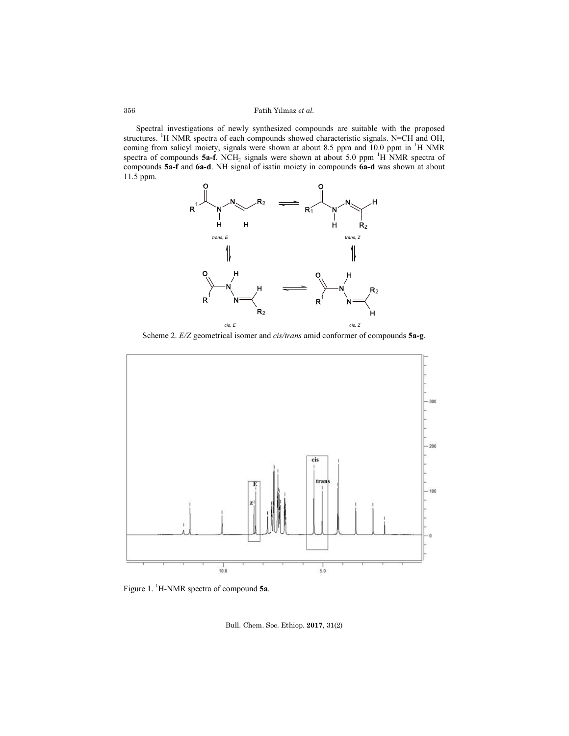Fatih Yılmaz *et al.*

Spectral investigations of newly synthesized compounds are suitable with the proposed structures. <sup>1</sup>H NMR spectra of each compounds showed characteristic signals. N=CH and OH, coming from salicyl moiety, signals were shown at about 8.5 ppm and  $10.0$  ppm in  $\mathrm{^{1}H}$  NMR spectra of compounds  $5a-f$ . NCH<sub>2</sub> signals were shown at about 5.0 ppm <sup>1</sup>H NMR spectra of compounds **5a-f** and **6a-d**. NH signal of isatin moiety in compounds **6a-d** was shown at about 11.5 ppm.



Scheme 2. *E/Z* geometrical isomer and *cis/trans* amid conformer of compounds **5a-g**.



Figure 1. <sup>1</sup> H-NMR spectra of compound **5a**.

Bull. Chem. Soc. Ethiop. **2017**, 31(2)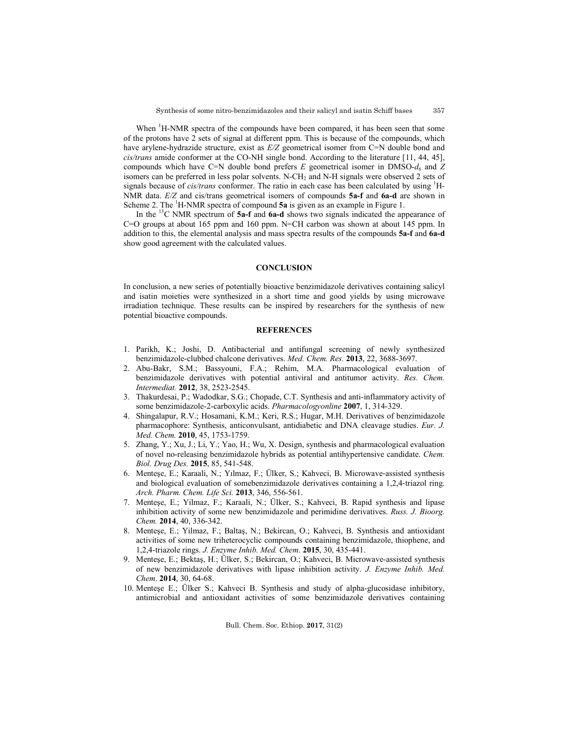When <sup>1</sup>H-NMR spectra of the compounds have been compared, it has been seen that some of the protons have 2 sets of signal at different ppm. This is because of the compounds, which have arylene-hydrazide structure, exist as *E/Z* geometrical isomer from C=N double bond and *cis/trans* amide conformer at the CO-NH single bond. According to the literature [11, 44, 45], compounds which have C=N double bond prefers  $E$  geometrical isomer in DMSO- $d_6$  and  $Z$ isomers can be preferred in less polar solvents. N-CH<sub>2</sub> and N-H signals were observed 2 sets of signals because of *cis/trans* conformer. The ratio in each case has been calculated by using <sup>1</sup>H-NMR data. *E/Z* and cis/trans geometrical isomers of compounds **5a-f** and **6a-d** are shown in Scheme 2. The <sup>1</sup>H-NMR spectra of compound 5a is given as an example in Figure 1.

In the 13C NMR spectrum of **5a-f** and **6a-d** shows two signals indicated the appearance of C=O groups at about 165 ppm and 160 ppm. N=CH carbon was shown at about 145 ppm. In addition to this, the elemental analysis and mass spectra results of the compounds **5a-f** and **6a-d** show good agreement with the calculated values.

### **CONCLUSION**

In conclusion, a new series of potentially bioactive benzimidazole derivatives containing salicyl and isatin moieties were synthesized in a short time and good yields by using microwave irradiation technique. These results can be inspired by researchers for the synthesis of new potential bioactive compounds.

### **REFERENCES**

- 1. Parikh, K.; Joshi, D. Antibacterial and antifungal screening of newly synthesized benzimidazole-clubbed chalcone derivatives. *Med. Chem. Res.* **2013**, 22, 3688-3697.
- 2. Abu-Bakr, S.M.; Bassyouni, F.A.; Rehim, M.A. Pharmacological evaluation of benzimidazole derivatives with potential antiviral and antitumor activity. *Res. Chem. Intermediat.* **2012**, 38, 2523-2545.
- 3. Thakurdesai, P.; Wadodkar, S.G.; Chopade, C.T. Synthesis and anti-inflammatory activity of some benzimidazole-2-carboxylic acids. *Pharmacologyonline* **2007**, 1, 314-329.
- 4. Shingalapur, R.V.; Hosamani, K.M.; Keri, R.S.; Hugar, M.H. Derivatives of benzimidazole pharmacophore: Synthesis, anticonvulsant, antidiabetic and DNA cleavage studies. *Eur. J. Med. Chem.* **2010**, 45, 1753-1759.
- 5. Zhang, Y.; Xu, J.; Li, Y.; Yao, H.; Wu, X. Design, synthesis and pharmacological evaluation of novel no-releasing benzimidazole hybrids as potential antihypertensive candidate. *Chem. Biol. Drug Des.* **2015**, 85, 541-548.
- 6. Menteşe, E.; Karaali, N.; Yılmaz, F.; Ülker, S.; Kahveci, B. Microwave‐assisted synthesis and biological evaluation of somebenzimidazole derivatives containing a 1,2,4‐triazol ring. *Arch. Pharm. Chem. Life Sci.* **2013**, 346, 556-561.
- 7. Menteşe, E.; Yilmaz, F.; Karaali, N.; Ülker, S.; Kahveci, B. Rapid synthesis and lipase inhibition activity of some new benzimidazole and perimidine derivatives. *Russ. J. Bioorg. Chem.* **2014**, 40, 336-342.
- 8. Menteşe, E.; Yilmaz, F.; Baltaş, N.; Bekircan, O.; Kahveci, B. Synthesis and antioxidant activities of some new triheterocyclic compounds containing benzimidazole, thiophene, and 1,2,4-triazole rings. *J. Enzyme Inhib. Med. Chem*. **2015**, 30, 435-441.
- 9. Menteşe, E.; Bektaş, H.; Ülker, S.; Bekircan, O.; Kahveci, B. Microwave-assisted synthesis of new benzimidazole derivatives with lipase inhibition activity. *J. Enzyme Inhib. Med. Chem*. **2014**, 30, 64-68.
- 10. Menteşe E.; Ülker S.; Kahveci B. Synthesis and study of alpha-glucosidase inhibitory, antimicrobial and antioxidant activities of some benzimidazole derivatives containing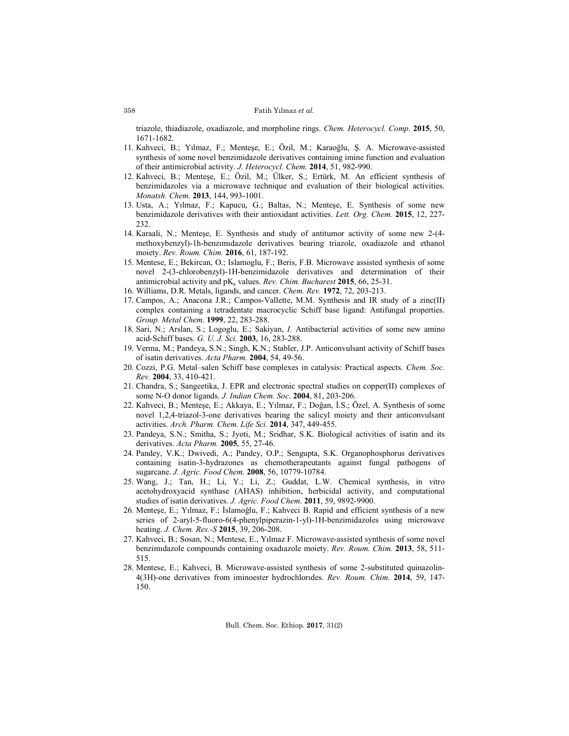triazole, thiadiazole, oxadiazole, and morpholine rings. *Chem. Heterocycl. Comp*. **2015**, 50, 1671-1682.

- 11. Kahveci, B.; Yılmaz, F.; Menteşe, E.; Özil, M.; Karaoğlu, Ş. A. Microwave-assisted synthesis of some novel benzimidazole derivatives containing imine function and evaluation of their antimicrobial activity. *J. Heterocycl. Chem.* **2014**, 51, 982-990.
- 12. Kahveci, B.; Menteşe, E.; Özil, M.; Ülker, S.; Ertürk, M. An efficient synthesis of benzimidazoles via a microwave technique and evaluation of their biological activities. *Monatsh. Chem*. **2013**, 144, 993-1001.
- 13. Usta, A.; Yılmaz, F.; Kapucu, G.; Baltas, N.; Menteşe, E. Synthesis of some new benzimidazole derivatives with their antioxidant activities. *Lett. Org. Chem.* **2015**, 12, 227- 232.
- 14. Karaali, N.; Menteşe, E. Synthesis and study of antitumor activity of some new 2-(4 methoxybenzyl)-1h-benzımıdazole derivatives bearing triazole, oxadiazole and ethanol moiety. *Rev. Roum. Chim.* **2016**, 61, 187-192.
- 15. Mentese, E.; Bekircan, O.; Islamoglu, F.; Beris, F.B. Microwave assisted synthesis of some novel 2-(3-chlorobenzyl)-1H-benzimidazole derivatives and determination of their antimicrobial activity and  $pK_a$  values. *Rev. Chim. Bucharest* 2015, 66, 25-31.
- 16. Williams, D.R. Metals, ligands, and cancer. *Chem. Rev.* **1972**, 72, 203-213.
- 17. Campos, A.; Anacona J.R.; Campos-Vallette, M.M. Synthesis and IR study of a zinc(II) complex containing a tetradentate macrocyclic Schiff base ligand: Antifungal properties. *Group. Metal Chem*. **1999**, 22, 283-288.
- 18. Sari, N.; Arslan, S.; Logoglu, E.; Sakiyan, *I.* Antibacterial activities of some new amino acid-Schiff bases. *G. U. J. Sci.* **2003**, 16, 283-288.
- 19. Verma, M.; Pandeya, S.N.; Singh, K.N.; Stabler, J.P. Anticonvulsant activity of Schiff bases of isatin derivatives. *Acta Pharm.* **2004**, 54, 49-56.
- 20. Cozzi, P.G. Metal–salen Schiff base complexes in catalysis: Practical aspects. *Chem. Soc. Rev.* **2004**, 33, 410-421.
- 21. Chandra, S.; Sangeetika, J. EPR and electronic spectral studies on copper(II) complexes of some N-O donor ligands. *J. Indian Chem. Soc*. **2004**, 81, 203-206.
- 22. Kahveci, B.; Menteşe, E.; Akkaya, E.; Yılmaz, F.; Doğan, İ.S.; Özel, A. Synthesis of some novel 1,2,4-triazol-3-one derivatives bearing the salicyl moiety and their anticonvulsant activities. *Arch. Pharm. Chem. Life Sci.* **2014**, 347, 449-455.
- 23. Pandeya, S.N.; Smitha, S.; Jyoti, M.; Sridhar, S.K. Biological activities of isatin and its derivatives. *Acta Pharm.* **2005**, 55, 27-46.
- 24. Pandey, V.K.; Dwivedi, A.; Pandey, O.P.; Sengupta, S.K. Organophosphorus derivatives containing isatin-3-hydrazones as chemotherapeutants against fungal pathogens of sugarcane. *J. Agric. Food Chem.* **2008**, 56, 10779-10784.
- 25. Wang, J.; Tan, H.; Li, Y.; Li, Z.; Guddat, L.W. Chemical synthesis, in vitro acetohydroxyacid synthase (AHAS) inhibition, herbicidal activity, and computational studies of isatin derivatives. *J. Agric. Food Chem*. **2011**, 59, 9892-9900.
- 26. Menteşe, E.; Yılmaz, F.; İslamoğlu, F.; Kahveci B. Rapid and efficient synthesis of a new series of 2-aryl-5-fluoro-6(4-phenylpiperazin-1-yl)-1H-benzimidazoles using microwave heating. *J. Chem. Res.-S* **2015**, 39, 206-208.
- 27. Kahveci, B.; Sosan, N.; Mentese, E., Yılmaz F. Microwave-assisted synthesis of some novel benzimıdazole compounds containing oxadıazole moiety. *Rev. Roum. Chim.* **2013**, 58, 511- 515.
- 28. Mentese, E.; Kahveci, B. Microwave-assisted synthesis of some 2-substituted quinazolin-4(3H)-one derivatives from iminoester hydrochlorıdes. *Rev. Roum. Chim*. **2014**, 59, 147- 150.

358